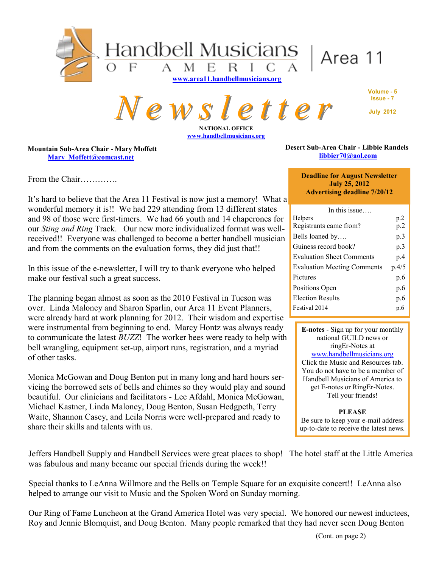

*N e w s l e t t e r* **NATIONAL OFFICE**

**[www.handbellmusicians.org](http://www.handbellmusicians.org)**

**Volume - 5 Issue - 7 July 2012**

**Mountain Sub-Area Chair - Mary Moffett [Mary\\_Moffett@comcast.net](mailto:Mary_Moffett@comcast.net)** 

From the Chair………….

It's hard to believe that the Area 11 Festival is now just a memory! What a wonderful memory it is!! We had 229 attending from 13 different states and 98 of those were first-timers. We had 66 youth and 14 chaperones for our *Sting and Ring* Track. Our new more individualized format was wellreceived!! Everyone was challenged to become a better handbell musician and from the comments on the evaluation forms, they did just that!!

In this issue of the e-newsletter, I will try to thank everyone who helped make our festival such a great success.

The planning began almost as soon as the 2010 Festival in Tucson was over. Linda Maloney and Sharon Sparlin, our Area 11 Event Planners, were already hard at work planning for 2012. Their wisdom and expertise were instrumental from beginning to end. Marcy Hontz was always ready to communicate the latest *BUZZ*! The worker bees were ready to help with bell wrangling, equipment set-up, airport runs, registration, and a myriad of other tasks.

Monica McGowan and Doug Benton put in many long and hard hours servicing the borrowed sets of bells and chimes so they would play and sound beautiful. Our clinicians and facilitators - Lee Afdahl, Monica McGowan, Michael Kastner, Linda Maloney, Doug Benton, Susan Hedgpeth, Terry Waite, Shannon Casey, and Leila Norris were well-prepared and ready to share their skills and talents with us.

Jeffers Handbell Supply and Handbell Services were great places to shop! The hotel staff at the Little America was fabulous and many became our special friends during the week!!

Special thanks to LeAnna Willmore and the Bells on Temple Square for an exquisite concert!! LeAnna also helped to arrange our visit to Music and the Spoken Word on Sunday morning.

Our Ring of Fame Luncheon at the Grand America Hotel was very special. We honored our newest inductees, Roy and Jennie Blomquist, and Doug Benton. Many people remarked that they had never seen Doug Benton

#### **Desert Sub-Area Chair - Libbie Randels [libbier70@aol.com](mailto:libbier70@aol.com)**

**Deadline for August Newsletter July 25, 2012 Advertising deadline 7/20/12**

| In this issue                      |                 |
|------------------------------------|-----------------|
| <b>Helpers</b>                     | p <sub>.2</sub> |
| Registrants came from?             | p <sub>.2</sub> |
| Bells loaned by                    | p.3             |
| Guiness record book?               | p.3             |
| <b>Evaluation Sheet Comments</b>   | p.4             |
| <b>Evaluation Meeting Comments</b> | p.4/5           |
| Pictures                           | p.6             |
| Positions Open                     | p.6             |
| <b>Election Results</b>            | p.6             |
| Festival 2014                      | p.6             |

**E-notes** - Sign up for your monthly national GUILD news or ringEr-Notes at [www.handbellmusicians.org](http://handbellmusicians.org/music-resources/e-newsletters/) Click the Music and Resources tab. You do not have to be a member of Handbell Musicians of America to get E-notes or RingEr-Notes. Tell your friends!

**PLEASE** Be sure to keep your e-mail address up-to-date to receive the latest news.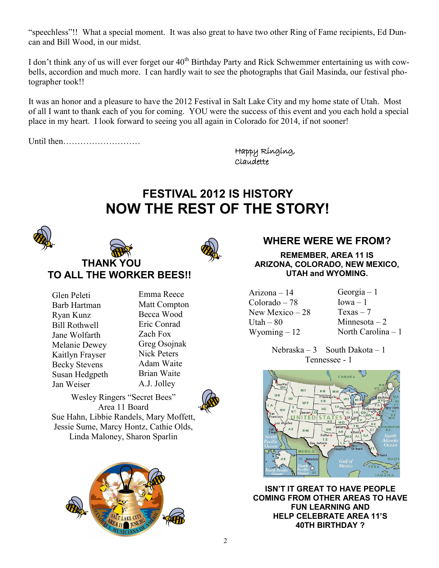"speechless"!! What a special moment. It was also great to have two other Ring of Fame recipients, Ed Duncan and Bill Wood, in our midst.

I don't think any of us will ever forget our 40<sup>th</sup> Birthday Party and Rick Schwemmer entertaining us with cowbells, accordion and much more. I can hardly wait to see the photographs that Gail Masinda, our festival photographer took!!

It was an honor and a pleasure to have the 2012 Festival in Salt Lake City and my home state of Utah. Most of all I want to thank each of you for coming. YOU were the success of this event and you each hold a special place in my heart. I look forward to seeing you all again in Colorado for 2014, if not sooner!

Until then………………………

Happy Ringing, Claudette

# **FESTIVAL 2012 IS HISTORY NOW THE REST OF THE STORY!**





**THANK YOU TO ALL THE WORKER BEES!!**

| Glen Peleti          |
|----------------------|
| Barb Hartman         |
| Ryan Kunz            |
| <b>Bill Rothwell</b> |
| Jane Wolfarth        |
| Melanie Dewey        |
| Kaitlyn Frayser      |
| <b>Becky Stevens</b> |
| Susan Hedgpeth       |
| Jan Weiser           |

Emma Reece Matt Compton Becca Wood Eric Conrad Zach Fox Greg Osojnak Nick Peters Adam Waite Brian Waite A.J. Jolley



Wesley Ringers "Secret Bees" Area 11 Board Sue Hahn, Libbie Randels, Mary Moffett, Jessie Sume, Marcy Hontz, Cathie Olds, Linda Maloney, Sharon Sparlin



### **WHERE WERE WE FROM?**

**REMEMBER, AREA 11 IS ARIZONA, COLORADO, NEW MEXICO, UTAH and WYOMING.**

Arizona – 14 Colorado – 78 New Mexico – 28 Utah  $-80$ Wyoming – 12

Georgia – 1  $Iowa - 1$  $Texas - 7$ Minnesota  $-2$ North Carolina – 1

Nebraska – 3 South Dakota – 1 Tennessee - 1



**ISN'T IT GREAT TO HAVE PEOPLE COMING FROM OTHER AREAS TO HAVE FUN LEARNING AND HELP CELEBRATE AREA 11'S 40TH BIRTHDAY ?**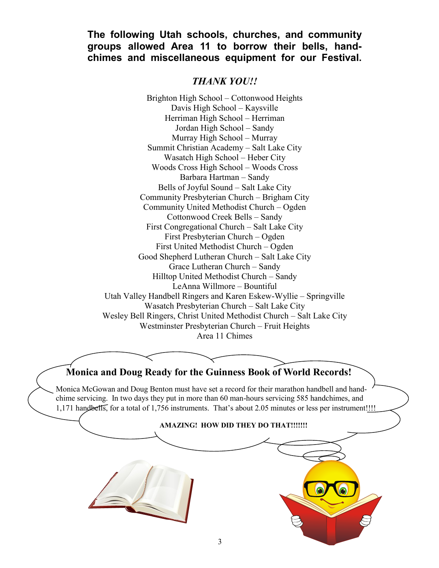### **The following Utah schools, churches, and community groups allowed Area 11 to borrow their bells, handchimes and miscellaneous equipment for our Festival.**

### *THANK YOU!!*

Brighton High School – Cottonwood Heights Davis High School – Kaysville Herriman High School – Herriman Jordan High School – Sandy Murray High School – Murray Summit Christian Academy – Salt Lake City Wasatch High School – Heber City Woods Cross High School – Woods Cross Barbara Hartman – Sandy Bells of Joyful Sound – Salt Lake City Community Presbyterian Church – Brigham City Community United Methodist Church – Ogden Cottonwood Creek Bells – Sandy First Congregational Church – Salt Lake City First Presbyterian Church – Ogden First United Methodist Church – Ogden Good Shepherd Lutheran Church – Salt Lake City Grace Lutheran Church – Sandy Hilltop United Methodist Church – Sandy LeAnna Willmore – Bountiful Utah Valley Handbell Ringers and Karen Eskew-Wyllie – Springville Wasatch Presbyterian Church – Salt Lake City Wesley Bell Ringers, Christ United Methodist Church – Salt Lake City Westminster Presbyterian Church – Fruit Heights Area 11 Chimes

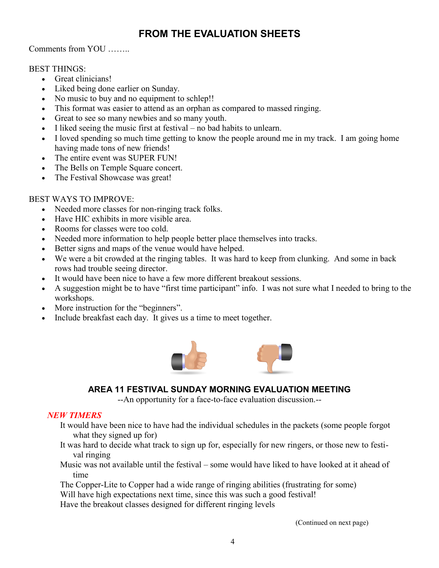# **FROM THE EVALUATION SHEETS**

#### Comments from YOU ……..

#### BEST THINGS:

- Great clinicians!
- Liked being done earlier on Sunday.
- No music to buy and no equipment to schlep!!
- This format was easier to attend as an orphan as compared to massed ringing.
- Great to see so many newbies and so many youth.
- I liked seeing the music first at festival no bad habits to unlearn.
- I loved spending so much time getting to know the people around me in my track. I am going home having made tons of new friends!
- The entire event was SUPER FUN!
- The Bells on Temple Square concert.
- The Festival Showcase was great!

### BEST WAYS TO IMPROVE:

- Needed more classes for non-ringing track folks.
- Have HIC exhibits in more visible area.
- Rooms for classes were too cold.
- Needed more information to help people better place themselves into tracks.
- Better signs and maps of the venue would have helped.
- We were a bit crowded at the ringing tables. It was hard to keep from clunking. And some in back rows had trouble seeing director.
- It would have been nice to have a few more different breakout sessions.
- A suggestion might be to have "first time participant" info. I was not sure what I needed to bring to the workshops.
- More instruction for the "beginners".
- Include breakfast each day. It gives us a time to meet together.



### **AREA 11 FESTIVAL SUNDAY MORNING EVALUATION MEETING**

--An opportunity for a face-to-face evaluation discussion.--

#### *NEW TIMERS*

- It would have been nice to have had the individual schedules in the packets (some people forgot what they signed up for)
- It was hard to decide what track to sign up for, especially for new ringers, or those new to festival ringing
- Music was not available until the festival some would have liked to have looked at it ahead of time
- The Copper-Lite to Copper had a wide range of ringing abilities (frustrating for some)
- Will have high expectations next time, since this was such a good festival!
- Have the breakout classes designed for different ringing levels

(Continued on next page)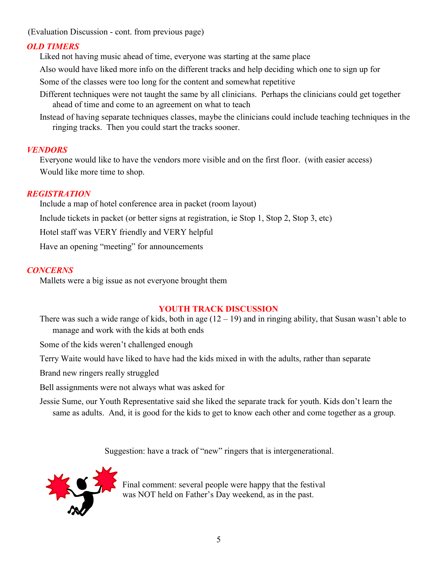(Evaluation Discussion - cont. from previous page)

#### *OLD TIMERS*

Liked not having music ahead of time, everyone was starting at the same place

Also would have liked more info on the different tracks and help deciding which one to sign up for

Some of the classes were too long for the content and somewhat repetitive

- Different techniques were not taught the same by all clinicians. Perhaps the clinicians could get together ahead of time and come to an agreement on what to teach
- Instead of having separate techniques classes, maybe the clinicians could include teaching techniques in the ringing tracks. Then you could start the tracks sooner.

#### *VENDORS*

Everyone would like to have the vendors more visible and on the first floor. (with easier access) Would like more time to shop.

#### *REGISTRATION*

Include a map of hotel conference area in packet (room layout)

Include tickets in packet (or better signs at registration, ie Stop 1, Stop 2, Stop 3, etc)

Hotel staff was VERY friendly and VERY helpful

Have an opening "meeting" for announcements

#### *CONCERNS*

Mallets were a big issue as not everyone brought them

#### **YOUTH TRACK DISCUSSION**

There was such a wide range of kids, both in age  $(12 – 19)$  and in ringing ability, that Susan wasn't able to manage and work with the kids at both ends

Some of the kids weren't challenged enough

Terry Waite would have liked to have had the kids mixed in with the adults, rather than separate

Brand new ringers really struggled

Bell assignments were not always what was asked for

Jessie Sume, our Youth Representative said she liked the separate track for youth. Kids don't learn the same as adults. And, it is good for the kids to get to know each other and come together as a group.

Suggestion: have a track of "new" ringers that is intergenerational.



Final comment: several people were happy that the festival was NOT held on Father's Day weekend, as in the past.